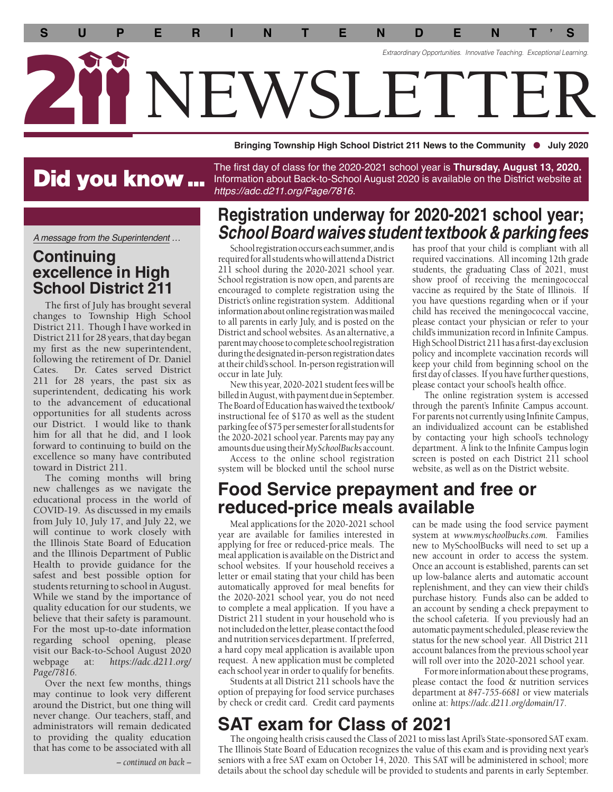**S U P E R I N T E N D E N T ' S** *Extraordinary Opportunities. Innovative Teaching. Exceptional Learning.*  WSI ETTI

**Bringing Township High School District 211 News to the Community July 2020** 

# Did you know ...

*A message from the Superintendent …* 

#### **Continuing excellence in High School District 211**

The frst of July has brought several changes to Township High School District 211. Though I have worked in District 211 for 28 years, that day began my frst as the new superintendent, following the retirement of Dr. Daniel Cates. Dr. Cates served District 211 for 28 years, the past six as superintendent, dedicating his work to the advancement of educational opportunities for all students across our District. I would like to thank him for all that he did, and I look forward to continuing to build on the excellence so many have contributed toward in District 211.

The coming months will bring new challenges as we navigate the educational process in the world of COVID-19. As discussed in my emails from July 10, July 17, and July 22, we will continue to work closely with the Illinois State Board of Education and the Illinois Department of Public Health to provide guidance for the safest and best possible option for students returning to school in August. While we stand by the importance of quality education for our students, we believe that their safety is paramount. For the most up-to-date information regarding school opening, please visit our Back-to-School August 2020<br>webpage at: https://adc.d211.org/ webpage at: *<https://adc.d211.org>/ Page/7816.* 

Over the next few months, things may continue to look very different around the District, but one thing will never change. Our teachers, staff, and administrators will remain dedicated to providing the quality education that has come to be associated with all

*– continued on back –*

The first day of class for the 2020-2021 school year is **Thursday, August 13, 2020.**  Information about Back-to-School August 2020 is available on the District website at *<https://adc.d211.org/Page/7816>.* 

#### **Registration underway for 2020-2021 school year;** *School Board waives student textbook & parking fees* has proof that your child is compliant with all

School registration occurs each summer, and is required for all students who will attend a District 211 school during the 2020-2021 school year. School registration is now open, and parents are encouraged to complete registration using the District's online registration system. Additional information about online registration was mailed to all parents in early July, and is posted on the District and school websites. As an alternative, a parent may choose to complete school registration during the designated in-person registration dates at their child's school. In-person registration will occur in late July.

New this year, 2020-2021 student fees will be billed in August, with payment due in September. The Board of Education has waived the textbook/ instructional fee of \$170 as well as the student parking fee of \$75 per semester for all students for the 2020-2021 school year. Parents may pay any amounts due using their *MySchoolBucks* account.

Access to the online school registration system will be blocked until the school nurse required vaccinations. All incoming 12th grade students, the graduating Class of 2021, must show proof of receiving the meningococcal vaccine as required by the State of Illinois. If you have questions regarding when or if your child has received the meningococcal vaccine, please contact your physician or refer to your child's immunization record in Infnite Campus. High School District 211 has a frst-day exclusion policy and incomplete vaccination records will keep your child from beginning school on the frst day of classes. If you have further questions, please contact your school's health office.

The online registration system is accessed through the parent's Infnite Campus account. For parents not currently using Infnite Campus, an individualized account can be established by contacting your high school's technology department. A link to the Infnite Campus login screen is posted on each District 211 school website, as well as on the District website.

### **Food Service prepayment and free or reduced-price meals available**

Meal applications for the 2020-2021 school year are available for families interested in applying for free or reduced-price meals. The meal application is available on the District and school websites. If your household receives a letter or email stating that your child has been automatically approved for meal benefts for the 2020-2021 school year, you do not need to complete a meal application. If you have a District 211 student in your household who is not included on the letter, please contact the food and nutrition services department. If preferred, a hard copy meal application is available upon request. A new application must be completed each school year in order to qualify for benefts.

Students at all District 211 schools have the option of prepaying for food service purchases by check or credit card. Credit card payments can be made using the food service payment system at *<www.myschoolbucks.com>.* Families new to MySchoolBucks will need to set up a new account in order to access the system. Once an account is established, parents can set up low-balance alerts and automatic account replenishment, and they can view their child's purchase history. Funds also can be added to an account by sending a check prepayment to the school cafeteria. If you previously had an automatic payment scheduled, please review the status for the new school year. All District 211 account balances from the previous school year will roll over into the 2020-2021 school year.

For more information about these programs, please contact the food & nutrition services department at *847-755-6681* or view materials online at: *[https://adc.d211.org/domain/17.](https://adc.d211.org/domain/17)* 

### **SAT exam for Class of 2021**

The ongoing health crisis caused the Class of 2021 to miss last April's State-sponsored SAT exam. The Illinois State Board of Education recognizes the value of this exam and is providing next year's seniors with a free SAT exam on October 14, 2020. This SAT will be administered in school; more details about the school day schedule will be provided to students and parents in early September.